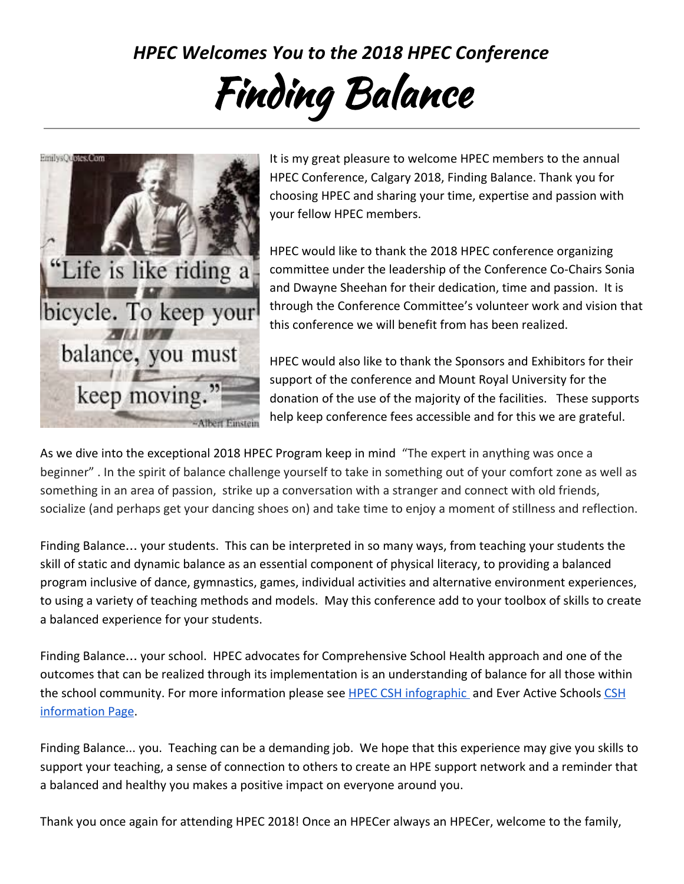*HPEC Welcomes You to the 2018 HPEC Conference*

## Finding Balance



It is my great pleasure to welcome HPEC members to the annual HPEC Conference, Calgary 2018, Finding Balance. Thank you for choosing HPEC and sharing your time, expertise and passion with your fellow HPEC members.

HPEC would like to thank the 2018 HPEC conference organizing committee under the leadership of the Conference Co-Chairs Sonia and Dwayne Sheehan for their dedication, time and passion. It is through the Conference Committee's volunteer work and vision that this conference we will benefit from has been realized.

HPEC would also like to thank the Sponsors and Exhibitors for their support of the conference and Mount Royal University for the donation of the use of the majority of the facilities. These supports help keep conference fees accessible and for this we are grateful.

As we dive into the exceptional 2018 HPEC Program keep in mind "The expert in anything was once a beginner" . In the spirit of balance challenge yourself to take in something out of your comfort zone as well as something in an area of passion, strike up a conversation with a stranger and connect with old friends, socialize (and perhaps get your dancing shoes on) and take time to enjoy a moment of stillness and reflection.

Finding Balance… your students. This can be interpreted in so many ways, from teaching your students the skill of static and dynamic balance as an essential component of physical literacy, to providing a balanced program inclusive of dance, gymnastics, games, individual activities and alternative environment experiences, to using a variety of teaching methods and models. May this conference add to your toolbox of skills to create a balanced experience for your students.

Finding Balance… your school. HPEC advocates for Comprehensive School Health approach and one of the outcomes that can be realized through its implementation is an understanding of balance for all those within the school community. For more information please see **HPEC [CSH](https://everactive.org/comprehensive-school-health/)** infographic and Ever Active Schools CSH [information Page](https://everactive.org/comprehensive-school-health/).

Finding Balance... you. Teaching can be a demanding job. We hope that this experience may give you skills to support your teaching, a sense of connection to others to create an HPE support network and a reminder that a balanced and healthy you makes a positive impact on everyone around you.

Thank you once again for attending HPEC 2018! Once an HPECer always an HPECer, welcome to the family,